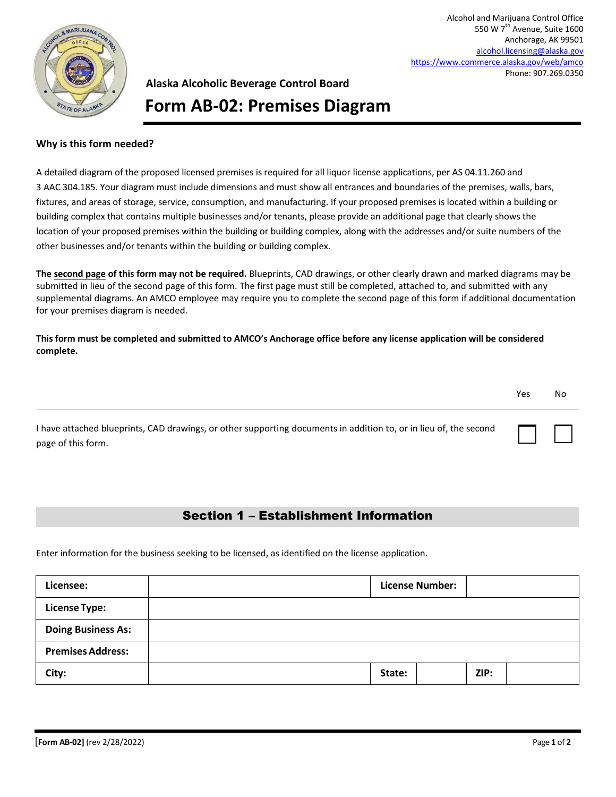

Alcohol and Marijuana Control Office 550 W 7<sup>th</sup> Avenue, Suite 1600 Anchorage, AK 99501 [alcohol.licensing@alaska.gov](mailto:alcohol.licensing@alaska.gov) <https://www.commerce.alaska.gov/web/amco> Phone: 907.269.0350

## **Alaska Alcoholic Beverage Control Board Form AB-02: Premises Diagram**

## **Why is this form needed?**

A detailed diagram of the proposed licensed premises is required for all liquor license applications, per AS 04.11.260 and 3 AAC 304.185. Your diagram must include dimensions and must show all entrances and boundaries of the premises, walls, bars, fixtures, and areas of storage, service, consumption, and manufacturing. If your proposed premises is located within a building or building complex that contains multiple businesses and/or tenants, please provide an additional page that clearly shows the location of your proposed premises within the building or building complex, along with the addresses and/or suite numbers of the other businesses and/or tenants within the building or building complex.

**The second page of this form may not be required.** Blueprints, CAD drawings, or other clearly drawn and marked diagrams may be submitted in lieu of the second page of this form. The first page must still be completed, attached to, and submitted with any supplemental diagrams. An AMCO employee may require you to complete the second page of this form if additional documentation for your premises diagram is needed.

**This form must be completed and submitted to AMCO's Anchorage office before any license application will be considered complete.**

|                                                                                                                   | Yes | No |  |
|-------------------------------------------------------------------------------------------------------------------|-----|----|--|
| I have attached blueprints, CAD drawings, or other supporting documents in addition to, or in lieu of, the second |     |    |  |

## Section 1 – Establishment Information

Enter information for the business seeking to be licensed, as identified on the license application.

| Licensee:                 | <b>License Number:</b> |      |  |
|---------------------------|------------------------|------|--|
| <b>License Type:</b>      |                        |      |  |
| <b>Doing Business As:</b> |                        |      |  |
| <b>Premises Address:</b>  |                        |      |  |
| City:                     | State:                 | ZIP: |  |

page of this form.